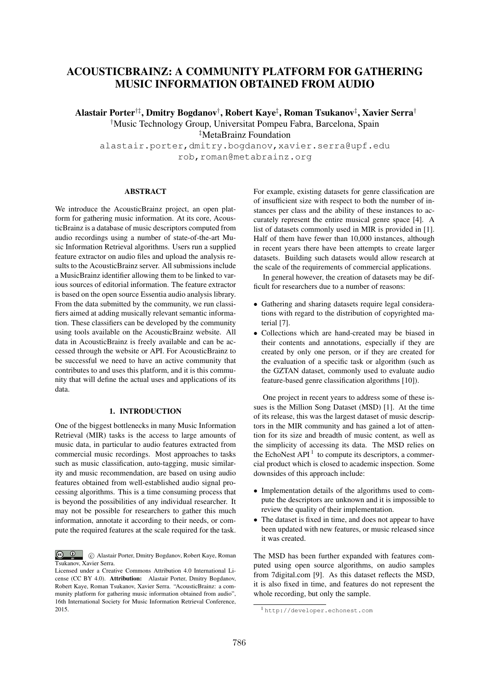# ACOUSTICBRAINZ: A COMMUNITY PLATFORM FOR GATHERING MUSIC INFORMATION OBTAINED FROM AUDIO

Alastair Porter*†‡*, Dmitry Bogdanov*†* , Robert Kaye*‡* , Roman Tsukanov*‡* , Xavier Serra*† †* Music Technology Group, Universitat Pompeu Fabra, Barcelona, Spain *‡* MetaBrainz Foundation

alastair.porter,dmitry.bogdanov,xavier.serra@upf.edu rob,roman@metabrainz.org

#### ABSTRACT

We introduce the AcousticBrainz project, an open platform for gathering music information. At its core, AcousticBrainz is a database of music descriptors computed from audio recordings using a number of state-of-the-art Music Information Retrieval algorithms. Users run a supplied feature extractor on audio files and upload the analysis results to the AcousticBrainz server. All submissions include a MusicBrainz identifier allowing them to be linked to various sources of editorial information. The feature extractor is based on the open source Essentia audio analysis library. From the data submitted by the community, we run classifiers aimed at adding musically relevant semantic information. These classifiers can be developed by the community using tools available on the AcousticBrainz website. All data in AcousticBrainz is freely available and can be accessed through the website or API. For AcousticBrainz to be successful we need to have an active community that contributes to and uses this platform, and it is this community that will define the actual uses and applications of its data.

## 1. INTRODUCTION

One of the biggest bottlenecks in many Music Information Retrieval (MIR) tasks is the access to large amounts of music data, in particular to audio features extracted from commercial music recordings. Most approaches to tasks such as music classification, auto-tagging, music similarity and music recommendation, are based on using audio features obtained from well-established audio signal processing algorithms. This is a time consuming process that is beyond the possibilities of any individual researcher. It may not be possible for researchers to gather this much information, annotate it according to their needs, or compute the required features at the scale required for the task.

 $\circledcirc$ c Alastair Porter, Dmitry Bogdanov, Robert Kaye, Roman Tsukanov, Xavier Serra.

For example, existing datasets for genre classification are of insufficient size with respect to both the number of instances per class and the ability of these instances to accurately represent the entire musical genre space [4]. A list of datasets commonly used in MIR is provided in [1]. Half of them have fewer than 10,000 instances, although in recent years there have been attempts to create larger datasets. Building such datasets would allow research at the scale of the requirements of commercial applications.

In general however, the creation of datasets may be difficult for researchers due to a number of reasons:

- *•* Gathering and sharing datasets require legal considerations with regard to the distribution of copyrighted material [7].
- *•* Collections which are hand-created may be biased in their contents and annotations, especially if they are created by only one person, or if they are created for the evaluation of a specific task or algorithm (such as the GZTAN dataset, commonly used to evaluate audio feature-based genre classification algorithms [10]).

One project in recent years to address some of these issues is the Million Song Dataset (MSD) [1]. At the time of its release, this was the largest dataset of music descriptors in the MIR community and has gained a lot of attention for its size and breadth of music content, as well as the simplicity of accessing its data. The MSD relies on the EchoNest  $API<sup>1</sup>$  to compute its descriptors, a commercial product which is closed to academic inspection. Some downsides of this approach include:

- Implementation details of the algorithms used to compute the descriptors are unknown and it is impossible to review the quality of their implementation.
- The dataset is fixed in time, and does not appear to have been updated with new features, or music released since it was created.

The MSD has been further expanded with features computed using open source algorithms, on audio samples from 7digital.com [9]. As this dataset reflects the MSD, it is also fixed in time, and features do not represent the whole recording, but only the sample.

Licensed under a Creative Commons Attribution 4.0 International License (CC BY 4.0). Attribution: Alastair Porter, Dmitry Bogdanov, Robert Kaye, Roman Tsukanov, Xavier Serra. "AcousticBrainz: a community platform for gathering music information obtained from audio", 16th International Society for Music Information Retrieval Conference, 2015.

<sup>1</sup> http://developer.echonest.com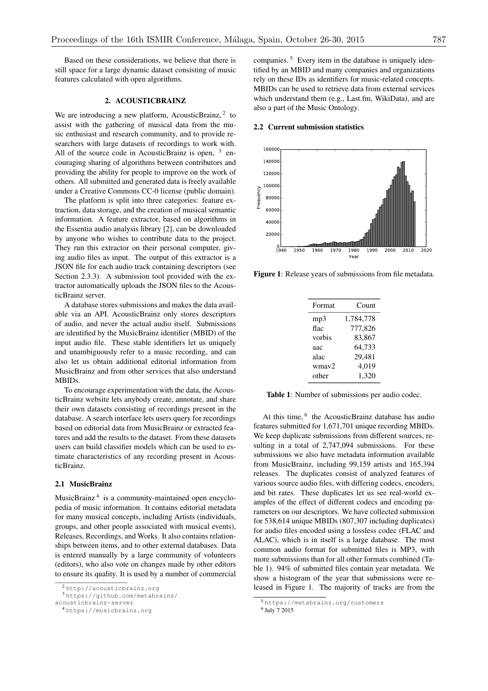Based on these considerations, we believe that there is still space for a large dynamic dataset consisting of music features calculated with open algorithms.

## 2. ACOUSTICBRAINZ

We are introducing a new platform, AcousticBrainz,  $2$  to assist with the gathering of musical data from the music enthusiast and research community, and to provide researchers with large datasets of recordings to work with. All of the source code in AcousticBrainz is open,  $3$  encouraging sharing of algorithms between contributors and providing the ability for people to improve on the work of others. All submitted and generated data is freely available under a Creative Commons CC-0 license (public domain).

The platform is split into three categories: feature extraction, data storage, and the creation of musical semantic information. A feature extractor, based on algorithms in the Essentia audio analysis library [2], can be downloaded by anyone who wishes to contribute data to the project. They run this extractor on their personal computer, giving audio files as input. The output of this extractor is a JSON file for each audio track containing descriptors (see Section 2.3.3). A submission tool provided with the extractor automatically uploads the JSON files to the AcousticBrainz server.

A database stores submissions and makes the data available via an API. AcousticBrainz only stores descriptors of audio, and never the actual audio itself. Submissions are identified by the MusicBrainz identifier (MBID) of the input audio file. These stable identifiers let us uniquely and unambiguously refer to a music recording, and can also let us obtain additional editorial information from MusicBrainz and from other services that also understand MBIDs.

To encourage experimentation with the data, the AcousticBrainz website lets anybody create, annotate, and share their own datasets consisting of recordings present in the database. A search interface lets users query for recordings based on editorial data from MusicBrainz or extracted features and add the results to the dataset. From these datasets users can build classifier models which can be used to estimate characteristics of any recording present in AcousticBrainz.

## 2.1 MusicBrainz

MusicBrainz <sup>4</sup> is a community-maintained open encyclopedia of music information. It contains editorial metadata for many musical concepts, including Artists (individuals, groups, and other people associated with musical events), Releases, Recordings, and Works. It also contains relationships between items, and to other external databases. Data is entered manually by a large community of volunteers (editors), who also vote on changes made by other editors to ensure its quality. It is used by a number of commercial companies. <sup>5</sup> Every item in the database is uniquely identified by an MBID and many companies and organizations rely on these IDs as identifiers for music-related concepts. MBIDs can be used to retrieve data from external services which understand them (e.g., Last.fm, WikiData), and are also a part of the Music Ontology.

## 2.2 Current submission statistics



Figure 1: Release years of submissions from file metadata.

| Format            | Count     |
|-------------------|-----------|
| mp3               | 1,784,778 |
| flac              | 777,826   |
| vorbis            | 83,867    |
| аас               | 64,733    |
| alac              | 29,481    |
| wmay <sub>2</sub> | 4,019     |
| other             | 1,320     |
|                   |           |

Table 1: Number of submissions per audio codec.

At this time, <sup>6</sup> the AcousticBrainz database has audio features submitted for 1,671,701 unique recording MBIDs. We keep duplicate submissions from different sources, resulting in a total of 2,747,094 submissions. For these submissions we also have metadata information available from MusicBrainz, including 99,159 artists and 165,394 releases. The duplicates consist of analyzed features of various source audio files, with differing codecs, encoders, and bit rates. These duplicates let us see real-world examples of the effect of different codecs and encoding parameters on our descriptors. We have collected submission for 538,614 unique MBIDs (807,307 including duplicates) for audio files encoded using a lossless codec (FLAC and ALAC), which is in itself is a large database. The most common audio format for submitted files is MP3, with more submissions than for all other formats combined (Table 1). 94% of submitted files contain year metadata. We show a histogram of the year that submissions were released in Figure 1. The majority of tracks are from the

<sup>2</sup> http://acousticbrainz.org

<sup>3</sup> https://github.com/metabrainz/

acousticbrainz-server

<sup>4</sup> https://musicbrainz.org

<sup>5</sup> https://metabrainz.org/customers

<sup>6</sup> July 7 2015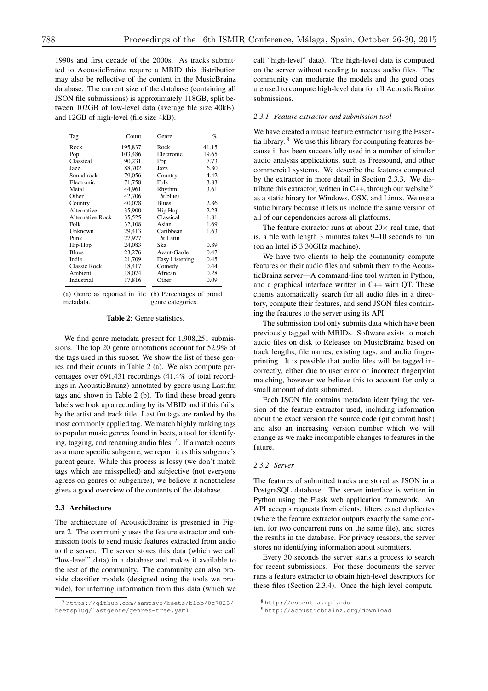1990s and first decade of the 2000s. As tracks submitted to AcousticBrainz require a MBID this distribution may also be reflective of the content in the MusicBrainz database. The current size of the database (containing all JSON file submissions) is approximately 118GB, split between 102GB of low-level data (average file size 40kB), and 12GB of high-level (file size 4kB).

| Tag              | Count   | Genre          | $\%$  |
|------------------|---------|----------------|-------|
| Rock             | 195,837 | Rock           | 41.15 |
| Pop              | 103.486 | Electronic     | 19.65 |
| Classical        | 90,231  | Pop            | 7.73  |
| Jazz.            | 88,702  | Jazz.          | 6.80  |
| Soundtrack       | 79,056  | Country        | 4.42  |
| Electronic       | 71,758  | Folk           | 3.83  |
| Metal            | 44,961  | Rhythm         | 3.61  |
| Other            | 42,706  | & blues        |       |
| Country          | 40,078  | <b>Blues</b>   | 2.86  |
| Alternative      | 35,900  | Hip Hop        | 2.23  |
| Alternative Rock | 35.525  | Classical      | 1.81  |
| Folk             | 32.108  | Asian          | 1.69  |
| Unknown          | 29,413  | Caribbean      | 1.63  |
| Punk             | 27,977  | & Latin        |       |
| Hip-Hop          | 24,083  | Ska            | 0.89  |
| <b>Blues</b>     | 23,276  | Avant-Garde    | 0.47  |
| Indie            | 21,709  | Easy Listening | 0.45  |
| Classic Rock     | 18,417  | Comedy         | 0.44  |
| Ambient          | 18,074  | African        | 0.28  |
| Industrial       | 17,816  | Other          | 0.09  |

(a) Genre as reported in file (b) Percentages of broad metadata. genre categories.

#### Table 2: Genre statistics.

We find genre metadata present for 1,908,251 submissions. The top 20 genre annotations account for 52.9% of the tags used in this subset. We show the list of these genres and their counts in Table 2 (a). We also compute percentages over 691,431 recordings (41.4% of total recordings in AcousticBrainz) annotated by genre using Last.fm tags and shown in Table 2 (b). To find these broad genre labels we look up a recording by its MBID and if this fails, by the artist and track title. Last.fm tags are ranked by the most commonly applied tag. We match highly ranking tags to popular music genres found in beets, a tool for identifying, tagging, and renaming audio files,  $<sup>7</sup>$ . If a match occurs</sup> as a more specific subgenre, we report it as this subgenre's parent genre. While this process is lossy (we don't match tags which are misspelled) and subjective (not everyone agrees on genres or subgenres), we believe it nonetheless gives a good overview of the contents of the database.

## 2.3 Architecture

The architecture of AcousticBrainz is presented in Figure 2. The community uses the feature extractor and submission tools to send music features extracted from audio to the server. The server stores this data (which we call "low-level" data) in a database and makes it available to the rest of the community. The community can also provide classifier models (designed using the tools we provide), for inferring information from this data (which we call "high-level" data). The high-level data is computed on the server without needing to access audio files. The community can moderate the models and the good ones are used to compute high-level data for all AcousticBrainz submissions.

#### *2.3.1 Feature extractor and submission tool*

We have created a music feature extractor using the Essentia library. <sup>8</sup> We use this library for computing features because it has been successfully used in a number of similar audio analysis applications, such as Freesound, and other commercial systems. We describe the features computed by the extractor in more detail in Section 2.3.3. We distribute this extractor, written in  $C_{++}$ , through our website  $9$ as a static binary for Windows, OSX, and Linux. We use a static binary because it lets us include the same version of all of our dependencies across all platforms.

The feature extractor runs at about  $20 \times$  real time, that is, a file with length 3 minutes takes 9–10 seconds to run (on an Intel i5 3.30GHz machine).

We have two clients to help the community compute features on their audio files and submit them to the AcousticBrainz server—A command-line tool written in Python, and a graphical interface written in C++ with QT. These clients automatically search for all audio files in a directory, compute their features, and send JSON files containing the features to the server using its API.

The submission tool only submits data which have been previously tagged with MBIDs. Software exists to match audio files on disk to Releases on MusicBrainz based on track lengths, file names, existing tags, and audio fingerprinting. It is possible that audio files will be tagged incorrectly, either due to user error or incorrect fingerprint matching, however we believe this to account for only a small amount of data submitted.

Each JSON file contains metadata identifying the version of the feature extractor used, including information about the exact version the source code (git commit hash) and also an increasing version number which we will change as we make incompatible changes to features in the future.

## *2.3.2 Server*

The features of submitted tracks are stored as JSON in a PostgreSQL database. The server interface is written in Python using the Flask web application framework. An API accepts requests from clients, filters exact duplicates (where the feature extractor outputs exactly the same content for two concurrent runs on the same file), and stores the results in the database. For privacy reasons, the server stores no identifying information about submitters.

Every 30 seconds the server starts a process to search for recent submissions. For these documents the server runs a feature extractor to obtain high-level descriptors for these files (Section 2.3.4). Once the high level computa-

<sup>7</sup> https://github.com/sampsyo/beets/blob/0c7823/ beetsplug/lastgenre/genres-tree.yaml

<sup>8</sup> http://essentia.upf.edu

<sup>9</sup> http://acousticbrainz.org/download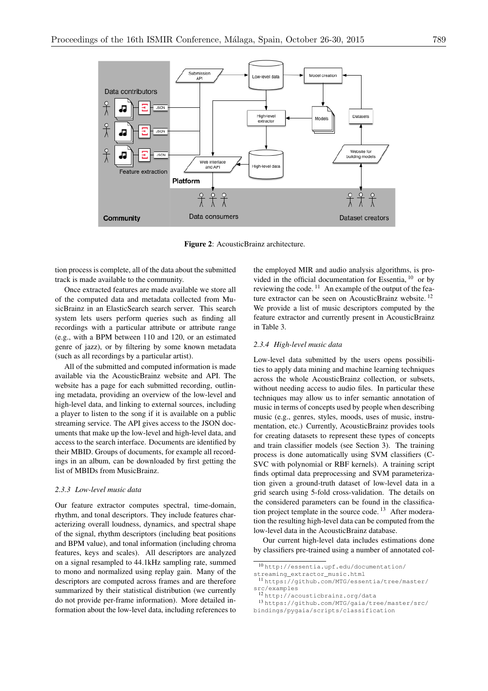

Figure 2: AcousticBrainz architecture.

tion process is complete, all of the data about the submitted track is made available to the community.

Once extracted features are made available we store all of the computed data and metadata collected from MusicBrainz in an ElasticSearch search server. This search system lets users perform queries such as finding all recordings with a particular attribute or attribute range (e.g., with a BPM between 110 and 120, or an estimated genre of jazz), or by filtering by some known metadata (such as all recordings by a particular artist).

All of the submitted and computed information is made available via the AcousticBrainz website and API. The website has a page for each submitted recording, outlining metadata, providing an overview of the low-level and high-level data, and linking to external sources, including a player to listen to the song if it is available on a public streaming service. The API gives access to the JSON documents that make up the low-level and high-level data, and access to the search interface. Documents are identified by their MBID. Groups of documents, for example all recordings in an album, can be downloaded by first getting the list of MBIDs from MusicBrainz.

## *2.3.3 Low-level music data*

Our feature extractor computes spectral, time-domain, rhythm, and tonal descriptors. They include features characterizing overall loudness, dynamics, and spectral shape of the signal, rhythm descriptors (including beat positions and BPM value), and tonal information (including chroma features, keys and scales). All descriptors are analyzed on a signal resampled to 44.1kHz sampling rate, summed to mono and normalized using replay gain. Many of the descriptors are computed across frames and are therefore summarized by their statistical distribution (we currently do not provide per-frame information). More detailed information about the low-level data, including references to the employed MIR and audio analysis algorithms, is provided in the official documentation for Essentia,  $^{10}$  or by reviewing the code.  $11$  An example of the output of the feature extractor can be seen on AcousticBrainz website.<sup>12</sup> We provide a list of music descriptors computed by the feature extractor and currently present in AcousticBrainz in Table 3.

## *2.3.4 High-level music data*

Low-level data submitted by the users opens possibilities to apply data mining and machine learning techniques across the whole AcousticBrainz collection, or subsets, without needing access to audio files. In particular these techniques may allow us to infer semantic annotation of music in terms of concepts used by people when describing music (e.g., genres, styles, moods, uses of music, instrumentation, etc.) Currently, AcousticBrainz provides tools for creating datasets to represent these types of concepts and train classifier models (see Section 3). The training process is done automatically using SVM classifiers (C-SVC with polynomial or RBF kernels). A training script finds optimal data preprocessing and SVM parameterization given a ground-truth dataset of low-level data in a grid search using 5-fold cross-validation. The details on the considered parameters can be found in the classification project template in the source code.  $13$  After moderation the resulting high-level data can be computed from the low-level data in the AcousticBrainz database.

Our current high-level data includes estimations done by classifiers pre-trained using a number of annotated col-

<sup>10</sup> http://essentia.upf.edu/documentation/

streaming\_extractor\_music.html

<sup>11</sup> https://github.com/MTG/essentia/tree/master/ src/examples

<sup>12</sup> http://acousticbrainz.org/data

<sup>13</sup> https://github.com/MTG/gaia/tree/master/src/ bindings/pygaia/scripts/classification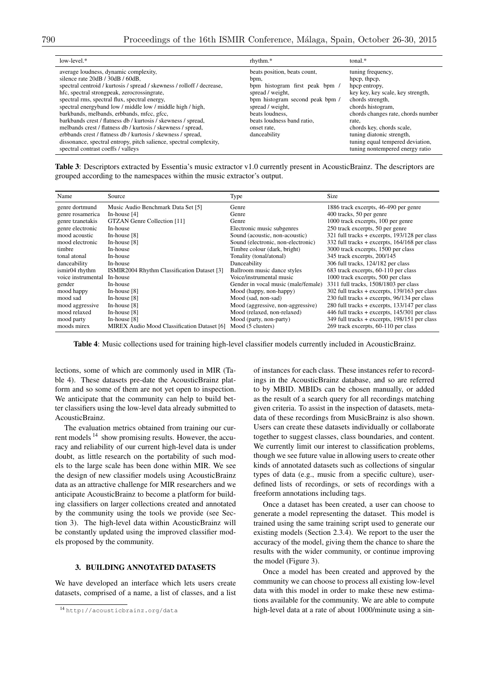| $low-level.*$                                                                                                                                                                                                                                                                                                                                                                                                                                                                                                                                                                                                                                                                | rhythm.*                                                                                                                                                                                                                          | $tonal.*$                                                                                                                                                                                                                                                                                                        |
|------------------------------------------------------------------------------------------------------------------------------------------------------------------------------------------------------------------------------------------------------------------------------------------------------------------------------------------------------------------------------------------------------------------------------------------------------------------------------------------------------------------------------------------------------------------------------------------------------------------------------------------------------------------------------|-----------------------------------------------------------------------------------------------------------------------------------------------------------------------------------------------------------------------------------|------------------------------------------------------------------------------------------------------------------------------------------------------------------------------------------------------------------------------------------------------------------------------------------------------------------|
| average loudness, dynamic complexity,<br>silence rate 20dB / 30dB / 60dB,<br>spectral centroid / kurtosis / spread / skewness / rolloff / decrease,<br>hfc, spectral strongpeak, zerocrossingrate,<br>spectral rms, spectral flux, spectral energy,<br>spectral energyband low / middle low / middle high / high,<br>barkbands, melbands, erbbands, mfcc, gfcc,<br>barkbands crest / flatness db / kurtosis / skewness / spread,<br>melbands crest / flatness db / kurtosis / skewness / spread,<br>erbbands crest / flatness db / kurtosis / skewness / spread,<br>dissonance, spectral entropy, pitch salience, spectral complexity,<br>spectral contrast coeffs / valleys | beats position, beats count,<br>bpm,<br>bpm histogram first peak bpm /<br>spread / weight,<br>bpm histogram second peak bpm /<br>spread / weight,<br>beats loudness.<br>beats loudness band ratio.<br>onset rate.<br>danceability | tuning frequency,<br>hpcp, thpcp,<br>hpcp entropy,<br>key key, key scale, key strength,<br>chords strength,<br>chords histogram,<br>chords changes rate, chords number<br>rate.<br>chords key, chords scale,<br>tuning diatonic strength,<br>tuning equal tempered deviation,<br>tuning nontempered energy ratio |

Table 3: Descriptors extracted by Essentia's music extractor v1.0 currently present in AcousticBrainz. The descriptors are grouped according to the namespaces within the music extractor's output.

| Name               | Source                                      | Type                                | Size                                              |
|--------------------|---------------------------------------------|-------------------------------------|---------------------------------------------------|
| genre dortmund     | Music Audio Benchmark Data Set [5]          | Genre                               | 1886 track excerpts, 46-490 per genre             |
| genre rosamerica   | In-house $[4]$                              | Genre                               | 400 tracks, 50 per genre                          |
| genre tzanetakis   | GTZAN Genre Collection [11]                 | Genre                               | 1000 track excerpts, 100 per genre                |
| genre electronic   | In-house                                    | Electronic music subgenres          | 250 track excerpts, 50 per genre                  |
| mood acoustic      | In-house $[8]$                              | Sound (acoustic, non-acoustic)      | 321 full tracks + excerpts, 193/128 per class     |
| mood electronic    | In-house $[8]$                              | Sound (electronic, non-electronic)  | 332 full tracks + excerpts, $164/168$ per class   |
| timbre             | In-house                                    | Timbre colour (dark, bright)        | 3000 track excerpts, 1500 per class               |
| tonal atonal       | In-house                                    | Tonality (tonal/atonal)             | 345 track excerpts, 200/145                       |
| danceability       | In-house                                    | Danceability                        | 306 full tracks, 124/182 per class                |
| ismir04 rhythm     | ISMIR2004 Rhythm Classification Dataset [3] | Ballroom music dance styles         | 683 track excerpts, 60-110 per class              |
| voice instrumental | In-house                                    | Voice/instrumental music            | 1000 track excerpts, 500 per class                |
| gender             | In-house                                    | Gender in vocal music (male/female) | 3311 full tracks, 1508/1803 per class             |
| mood happy         | In-house $[8]$                              | Mood (happy, non-happy)             | $302$ full tracks + excerpts, $139/163$ per class |
| mood sad           | In-house $[8]$                              | Mood (sad, non-sad)                 | 230 full tracks + excerpts, 96/134 per class      |
| mood aggressive    | In-house $[8]$                              | Mood (aggressive, non-aggressive)   | $280$ full tracks + excerpts, $133/147$ per class |
| mood relaxed       | In-house $[8]$                              | Mood (relaxed, non-relaxed)         | 446 full tracks $+$ excerpts, 145/301 per class   |
| mood party         | In-house $[8]$                              | Mood (party, non-party)             | 349 full tracks $+$ excerpts, 198/151 per class   |
| moods mirex        | MIREX Audio Mood Classification Dataset [6] | Mood (5 clusters)                   | 269 track excerpts, 60-110 per class              |

Table 4: Music collections used for training high-level classifier models currently included in AcousticBrainz.

lections, some of which are commonly used in MIR (Table 4). These datasets pre-date the AcousticBrainz platform and so some of them are not yet open to inspection. We anticipate that the community can help to build better classifiers using the low-level data already submitted to AcousticBrainz.

The evaluation metrics obtained from training our current models <sup>14</sup> show promising results. However, the accuracy and reliability of our current high-level data is under doubt, as little research on the portability of such models to the large scale has been done within MIR. We see the design of new classifier models using AcousticBrainz data as an attractive challenge for MIR researchers and we anticipate AcousticBrainz to become a platform for building classifiers on larger collections created and annotated by the community using the tools we provide (see Section 3). The high-level data within AcousticBrainz will be constantly updated using the improved classifier models proposed by the community.

## 3. BUILDING ANNOTATED DATASETS

We have developed an interface which lets users create datasets, comprised of a name, a list of classes, and a list of instances for each class. These instances refer to recordings in the AcousticBrainz database, and so are referred to by MBID. MBIDs can be chosen manually, or added as the result of a search query for all recordings matching given criteria. To assist in the inspection of datasets, metadata of these recordings from MusicBrainz is also shown. Users can create these datasets individually or collaborate together to suggest classes, class boundaries, and content. We currently limit our interest to classification problems, though we see future value in allowing users to create other kinds of annotated datasets such as collections of singular types of data (e.g., music from a specific culture), userdefined lists of recordings, or sets of recordings with a freeform annotations including tags.

Once a dataset has been created, a user can choose to generate a model representing the dataset. This model is trained using the same training script used to generate our existing models (Section 2.3.4). We report to the user the accuracy of the model, giving them the chance to share the results with the wider community, or continue improving the model (Figure 3).

Once a model has been created and approved by the community we can choose to process all existing low-level data with this model in order to make these new estimations available for the community. We are able to compute high-level data at a rate of about 1000/minute using a sin-

<sup>14</sup> http://acousticbrainz.org/data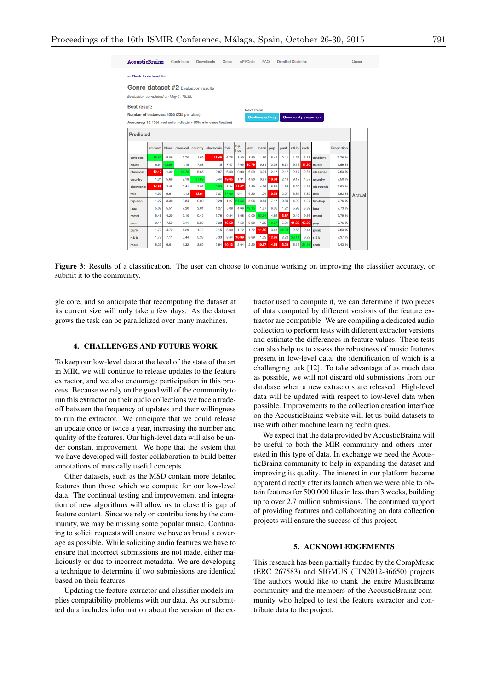

Figure 3: Results of a classification. The user can choose to continue working on improving the classifier accuracy, or submit it to the community.

gle core, and so anticipate that recomputing the dataset at its current size will only take a few days. As the dataset grows the task can be parallelized over many machines.

# 4. CHALLENGES AND FUTURE WORK

To keep our low-level data at the level of the state of the art in MIR, we will continue to release updates to the feature extractor, and we also encourage participation in this process. Because we rely on the good will of the community to run this extractor on their audio collections we face a tradeoff between the frequency of updates and their willingness to run the extractor. We anticipate that we could release an update once or twice a year, increasing the number and quality of the features. Our high-level data will also be under constant improvement. We hope that the system that we have developed will foster collaboration to build better annotations of musically useful concepts.

Other datasets, such as the MSD contain more detailed features than those which we compute for our low-level data. The continual testing and improvement and integration of new algorithms will allow us to close this gap of feature content. Since we rely on contributions by the community, we may be missing some popular music. Continuing to solicit requests will ensure we have as broad a coverage as possible. While soliciting audio features we have to ensure that incorrect submissions are not made, either maliciously or due to incorrect metadata. We are developing a technique to determine if two submissions are identical based on their features.

Updating the feature extractor and classifier models implies compatibility problems with our data. As our submitted data includes information about the version of the extractor used to compute it, we can determine if two pieces of data computed by different versions of the feature extractor are compatible. We are compiling a dedicated audio collection to perform tests with different extractor versions and estimate the differences in feature values. These tests can also help us to assess the robustness of music features present in low-level data, the identification of which is a challenging task [12]. To take advantage of as much data as possible, we will not discard old submissions from our database when a new extractors are released. High-level data will be updated with respect to low-level data when possible. Improvements to the collection creation interface on the AcousticBrainz website will let us build datasets to use with other machine learning techniques.

We expect that the data provided by AcousticBrainz will be useful to both the MIR community and others interested in this type of data. In exchange we need the AcousticBrainz community to help in expanding the dataset and improving its quality. The interest in our platform became apparent directly after its launch when we were able to obtain features for 500,000 files in less than 3 weeks, building up to over 2.7 million submissions. The continued support of providing features and collaborating on data collection projects will ensure the success of this project.

# 5. ACKNOWLEDGEMENTS

This research has been partially funded by the CompMusic (ERC 267583) and SIGMUS (TIN2012-36650) projects The authors would like to thank the entire MusicBrainz community and the members of the AcousticBrainz community who helped to test the feature extractor and contribute data to the project.